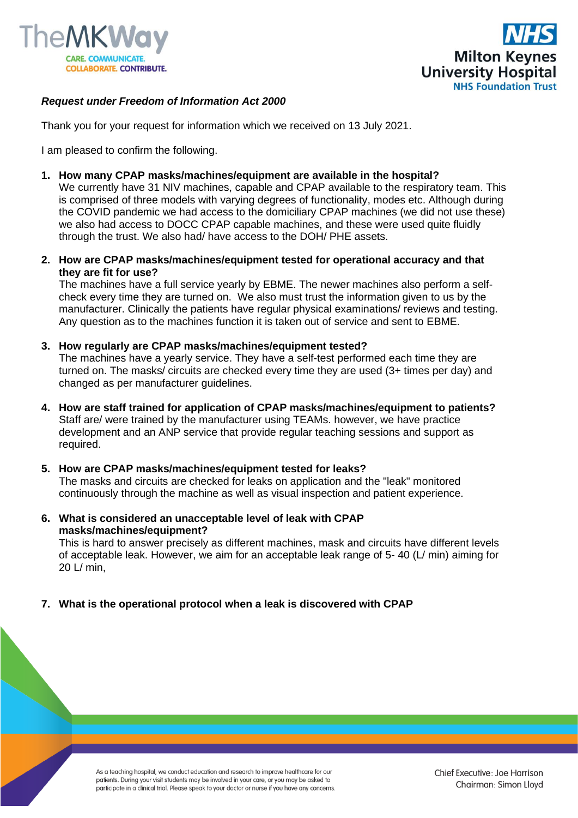



# *Request under Freedom of Information Act 2000*

Thank you for your request for information which we received on 13 July 2021.

I am pleased to confirm the following.

**1. How many CPAP masks/machines/equipment are available in the hospital?**

We currently have 31 NIV machines, capable and CPAP available to the respiratory team. This is comprised of three models with varying degrees of functionality, modes etc. Although during the COVID pandemic we had access to the domiciliary CPAP machines (we did not use these) we also had access to DOCC CPAP capable machines, and these were used quite fluidly through the trust. We also had/ have access to the DOH/ PHE assets.

**2. How are CPAP masks/machines/equipment tested for operational accuracy and that they are fit for use?**

The machines have a full service yearly by EBME. The newer machines also perform a selfcheck every time they are turned on. We also must trust the information given to us by the manufacturer. Clinically the patients have regular physical examinations/ reviews and testing. Any question as to the machines function it is taken out of service and sent to EBME.

#### **3. How regularly are CPAP masks/machines/equipment tested?**

The machines have a yearly service. They have a self-test performed each time they are turned on. The masks/ circuits are checked every time they are used (3+ times per day) and changed as per manufacturer guidelines.

**4. How are staff trained for application of CPAP masks/machines/equipment to patients?** Staff are/ were trained by the manufacturer using TEAMs. however, we have practice development and an ANP service that provide regular teaching sessions and support as required.

#### **5. How are CPAP masks/machines/equipment tested for leaks?**

The masks and circuits are checked for leaks on application and the "leak" monitored continuously through the machine as well as visual inspection and patient experience.

**6. What is considered an unacceptable level of leak with CPAP masks/machines/equipment?**

This is hard to answer precisely as different machines, mask and circuits have different levels of acceptable leak. However, we aim for an acceptable leak range of 5- 40 (L/ min) aiming for 20 L/ min,

## **7. What is the operational protocol when a leak is discovered with CPAP**

As a teaching hospital, we conduct education and research to improve healthcare for our patients. During your visit students may be involved in your care, or you may be asked to participate in a clinical trial. Please speak to your doctor or nurse if you have any concerns.